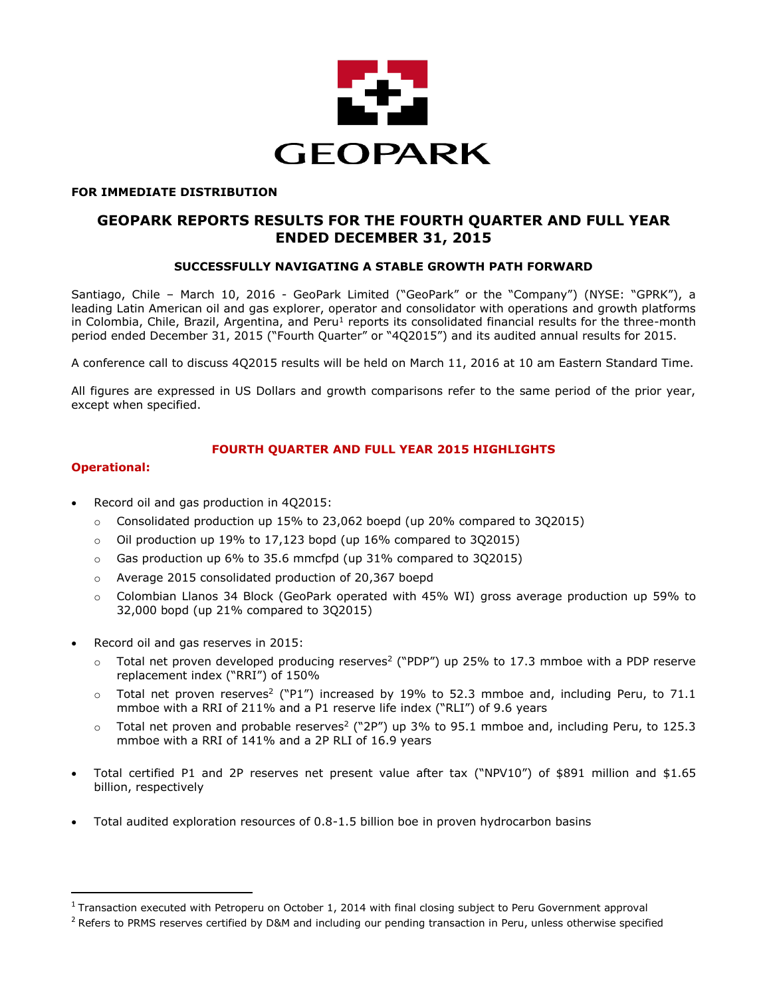

#### **FOR IMMEDIATE DISTRIBUTION**

# **GEOPARK REPORTS RESULTS FOR THE FOURTH QUARTER AND FULL YEAR ENDED DECEMBER 31, 2015**

## **SUCCESSFULLY NAVIGATING A STABLE GROWTH PATH FORWARD**

Santiago, Chile – March 10, 2016 - GeoPark Limited ("GeoPark" or the "Company") (NYSE: "GPRK"), a leading Latin American oil and gas explorer, operator and consolidator with operations and growth platforms in Colombia, Chile, Brazil, Argentina, and Peru<sup>1</sup> reports its consolidated financial results for the three-month period ended December 31, 2015 ("Fourth Quarter" or "4Q2015") and its audited annual results for 2015.

A conference call to discuss 4Q2015 results will be held on March 11, 2016 at 10 am Eastern Standard Time.

All figures are expressed in US Dollars and growth comparisons refer to the same period of the prior year, except when specified.

## **FOURTH QUARTER AND FULL YEAR 2015 HIGHLIGHTS**

## **Operational:**

 $\overline{\phantom{a}}$ 

- Record oil and gas production in 4Q2015:
	- Consolidated production up 15% to 23,062 boepd (up 20% compared to 3O2015)
	- o Oil production up 19% to 17,123 bopd (up 16% compared to 3Q2015)
	- $\circ$  Gas production up 6% to 35.6 mmcfpd (up 31% compared to 302015)
	- o Average 2015 consolidated production of 20,367 boepd
	- o Colombian Llanos 34 Block (GeoPark operated with 45% WI) gross average production up 59% to 32,000 bopd (up 21% compared to 3Q2015)
- Record oil and gas reserves in 2015:
	- $\circ$  Total net proven developed producing reserves<sup>2</sup> ("PDP") up 25% to 17.3 mmboe with a PDP reserve replacement index ("RRI") of 150%
	- $\circ$  Total net proven reserves<sup>2</sup> ("P1") increased by 19% to 52.3 mmboe and, including Peru, to 71.1 mmboe with a RRI of 211% and a P1 reserve life index ("RLI") of 9.6 years
	- o Total net proven and probable reserves<sup>2</sup> ("2P") up 3% to 95.1 mmboe and, including Peru, to 125.3 mmboe with a RRI of 141% and a 2P RLI of 16.9 years
- Total certified P1 and 2P reserves net present value after tax ("NPV10") of \$891 million and \$1.65 billion, respectively
- Total audited exploration resources of 0.8-1.5 billion boe in proven hydrocarbon basins

 $1$  Transaction executed with Petroperu on October 1, 2014 with final closing subject to Peru Government approval

<sup>&</sup>lt;sup>2</sup> Refers to PRMS reserves certified by D&M and including our pending transaction in Peru, unless otherwise specified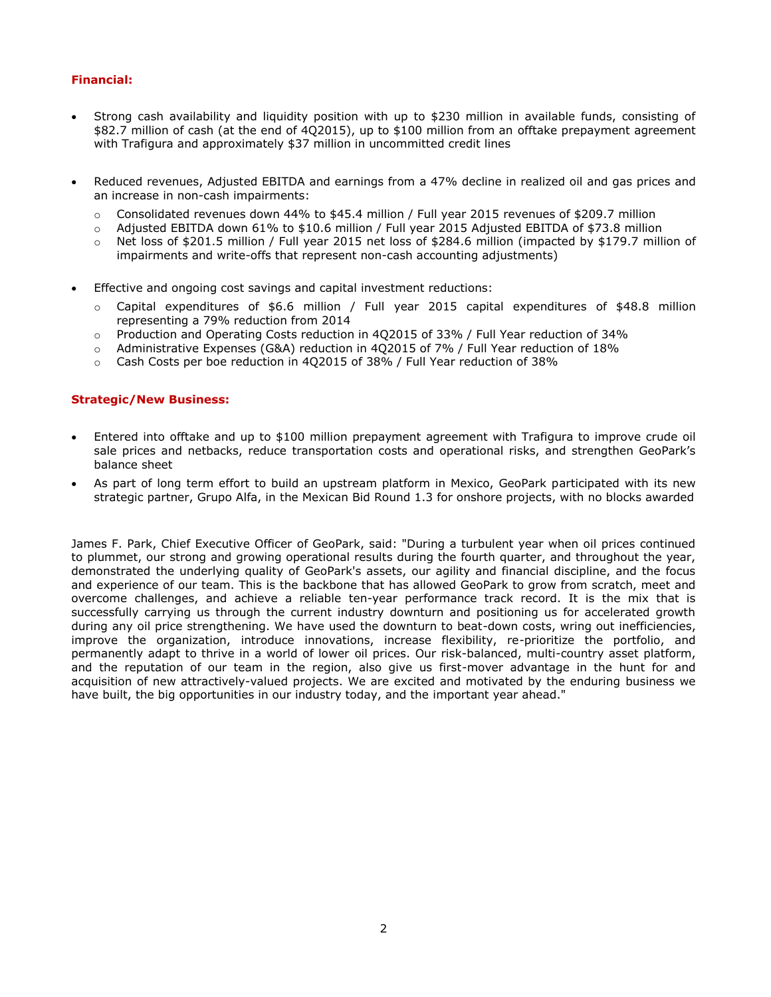## **Financial:**

- Strong cash availability and liquidity position with up to \$230 million in available funds, consisting of \$82.7 million of cash (at the end of 4Q2015), up to \$100 million from an offtake prepayment agreement with Trafigura and approximately \$37 million in uncommitted credit lines
- Reduced revenues, Adjusted EBITDA and earnings from a 47% decline in realized oil and gas prices and an increase in non-cash impairments:
	- o Consolidated revenues down 44% to \$45.4 million / Full year 2015 revenues of \$209.7 million
	- o Adjusted EBITDA down 61% to \$10.6 million / Full year 2015 Adjusted EBITDA of \$73.8 million
	- o Net loss of \$201.5 million / Full year 2015 net loss of \$284.6 million (impacted by \$179.7 million of impairments and write-offs that represent non-cash accounting adjustments)
- Effective and ongoing cost savings and capital investment reductions:
	- o Capital expenditures of \$6.6 million / Full year 2015 capital expenditures of \$48.8 million representing a 79% reduction from 2014
	- o Production and Operating Costs reduction in 4Q2015 of 33% / Full Year reduction of 34%
	- o Administrative Expenses (G&A) reduction in 4Q2015 of 7% / Full Year reduction of 18%
	- o Cash Costs per boe reduction in 4Q2015 of 38% / Full Year reduction of 38%

### **Strategic/New Business:**

- Entered into offtake and up to \$100 million prepayment agreement with Trafigura to improve crude oil sale prices and netbacks, reduce transportation costs and operational risks, and strengthen GeoPark's balance sheet
- As part of long term effort to build an upstream platform in Mexico, GeoPark participated with its new strategic partner, Grupo Alfa, in the Mexican Bid Round 1.3 for onshore projects, with no blocks awarded

James F. Park, Chief Executive Officer of GeoPark, said: "During a turbulent year when oil prices continued to plummet, our strong and growing operational results during the fourth quarter, and throughout the year, demonstrated the underlying quality of GeoPark's assets, our agility and financial discipline, and the focus and experience of our team. This is the backbone that has allowed GeoPark to grow from scratch, meet and overcome challenges, and achieve a reliable ten-year performance track record. It is the mix that is successfully carrying us through the current industry downturn and positioning us for accelerated growth during any oil price strengthening. We have used the downturn to beat-down costs, wring out inefficiencies, improve the organization, introduce innovations, increase flexibility, re-prioritize the portfolio, and permanently adapt to thrive in a world of lower oil prices. Our risk-balanced, multi-country asset platform, and the reputation of our team in the region, also give us first-mover advantage in the hunt for and acquisition of new attractively-valued projects. We are excited and motivated by the enduring business we have built, the big opportunities in our industry today, and the important year ahead."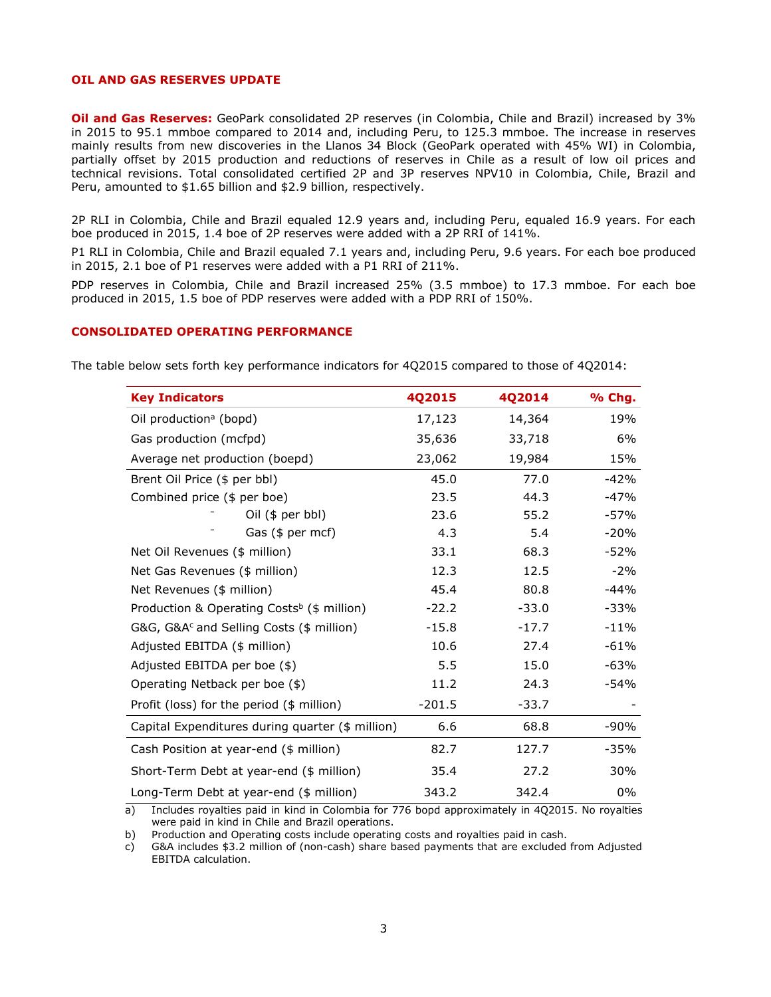#### **OIL AND GAS RESERVES UPDATE**

**Oil and Gas Reserves:** GeoPark consolidated 2P reserves (in Colombia, Chile and Brazil) increased by 3% in 2015 to 95.1 mmboe compared to 2014 and, including Peru, to 125.3 mmboe. The increase in reserves mainly results from new discoveries in the Llanos 34 Block (GeoPark operated with 45% WI) in Colombia, partially offset by 2015 production and reductions of reserves in Chile as a result of low oil prices and technical revisions. Total consolidated certified 2P and 3P reserves NPV10 in Colombia, Chile, Brazil and Peru, amounted to \$1.65 billion and \$2.9 billion, respectively.

2P RLI in Colombia, Chile and Brazil equaled 12.9 years and, including Peru, equaled 16.9 years. For each boe produced in 2015, 1.4 boe of 2P reserves were added with a 2P RRI of 141%.

P1 RLI in Colombia, Chile and Brazil equaled 7.1 years and, including Peru, 9.6 years. For each boe produced in 2015, 2.1 boe of P1 reserves were added with a P1 RRI of 211%.

PDP reserves in Colombia, Chile and Brazil increased 25% (3.5 mmboe) to 17.3 mmboe. For each boe produced in 2015, 1.5 boe of PDP reserves were added with a PDP RRI of 150%.

### **CONSOLIDATED OPERATING PERFORMANCE**

The table below sets forth key performance indicators for 4Q2015 compared to those of 4Q2014:

| <b>Key Indicators</b>                                  | 4Q2015   | 4Q2014  | % Chg. |
|--------------------------------------------------------|----------|---------|--------|
| Oil production <sup>a</sup> (bopd)                     | 17,123   | 14,364  | 19%    |
| Gas production (mcfpd)                                 | 35,636   | 33,718  | 6%     |
| Average net production (boepd)                         | 23,062   | 19,984  | 15%    |
| Brent Oil Price (\$ per bbl)                           | 45.0     | 77.0    | $-42%$ |
| Combined price (\$ per boe)                            | 23.5     | 44.3    | $-47%$ |
| $Oil$ (\$ per bbl)                                     | 23.6     | 55.2    | $-57%$ |
| Gas $($$ per mcf)                                      | 4.3      | 5.4     | $-20%$ |
| Net Oil Revenues (\$ million)                          | 33.1     | 68.3    | $-52%$ |
| Net Gas Revenues (\$ million)                          | 12.3     | 12.5    | $-2%$  |
| Net Revenues (\$ million)                              | 45.4     | 80.8    | $-44%$ |
| Production & Operating Costs <sup>b</sup> (\$ million) | $-22.2$  | $-33.0$ | $-33%$ |
| G&G, G&A <sup>c</sup> and Selling Costs (\$ million)   | $-15.8$  | $-17.7$ | $-11%$ |
| Adjusted EBITDA (\$ million)                           | 10.6     | 27.4    | $-61%$ |
| Adjusted EBITDA per boe (\$)                           | 5.5      | 15.0    | $-63%$ |
| Operating Netback per boe (\$)                         | 11.2     | 24.3    | $-54%$ |
| Profit (loss) for the period (\$ million)              | $-201.5$ | $-33.7$ |        |
| Capital Expenditures during quarter (\$ million)       | 6.6      | 68.8    | $-90%$ |
| Cash Position at year-end (\$ million)                 | 82.7     | 127.7   | $-35%$ |
| Short-Term Debt at year-end (\$ million)               | 35.4     | 27.2    | 30%    |
| Long-Term Debt at year-end (\$ million)                | 343.2    | 342.4   | $0\%$  |

a) Includes royalties paid in kind in Colombia for 776 bopd approximately in 4Q2015. No royalties were paid in kind in Chile and Brazil operations.

b) Production and Operating costs include operating costs and royalties paid in cash.

c) G&A includes \$3.2 million of (non-cash) share based payments that are excluded from Adjusted EBITDA calculation.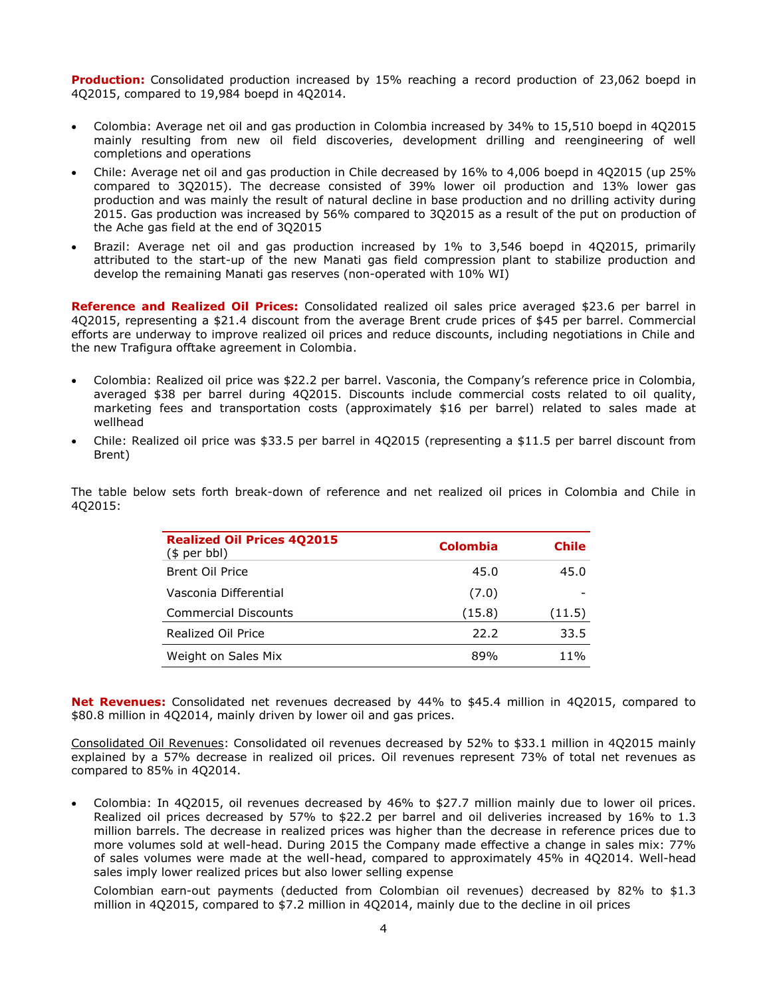**Production:** Consolidated production increased by 15% reaching a record production of 23,062 boepd in 4Q2015, compared to 19,984 boepd in 4Q2014.

- Colombia: Average net oil and gas production in Colombia increased by 34% to 15,510 boepd in 4Q2015 mainly resulting from new oil field discoveries, development drilling and reengineering of well completions and operations
- Chile: Average net oil and gas production in Chile decreased by 16% to 4,006 boepd in 4Q2015 (up 25% compared to 3Q2015). The decrease consisted of 39% lower oil production and 13% lower gas production and was mainly the result of natural decline in base production and no drilling activity during 2015. Gas production was increased by 56% compared to 3Q2015 as a result of the put on production of the Ache gas field at the end of 3Q2015
- Brazil: Average net oil and gas production increased by 1% to 3,546 boepd in 4Q2015, primarily attributed to the start-up of the new Manati gas field compression plant to stabilize production and develop the remaining Manati gas reserves (non-operated with 10% WI)

**Reference and Realized Oil Prices:** Consolidated realized oil sales price averaged \$23.6 per barrel in 4Q2015, representing a \$21.4 discount from the average Brent crude prices of \$45 per barrel. Commercial efforts are underway to improve realized oil prices and reduce discounts, including negotiations in Chile and the new Trafigura offtake agreement in Colombia.

- Colombia: Realized oil price was \$22.2 per barrel. Vasconia, the Company's reference price in Colombia, averaged \$38 per barrel during 4Q2015. Discounts include commercial costs related to oil quality, marketing fees and transportation costs (approximately \$16 per barrel) related to sales made at wellhead
- Chile: Realized oil price was \$33.5 per barrel in 4Q2015 (representing a \$11.5 per barrel discount from Brent)

The table below sets forth break-down of reference and net realized oil prices in Colombia and Chile in 4Q2015:

| <b>Realized Oil Prices 402015</b><br>(\$ per bb) | Colombia | <b>Chile</b>    |
|--------------------------------------------------|----------|-----------------|
| Brent Oil Price                                  | 45.0     | 45.0            |
| Vasconia Differential                            | (7.0)    |                 |
| Commercial Discounts                             | (15.8)   | (11.5)          |
| Realized Oil Price                               | 22.2     | 33.5            |
| Weight on Sales Mix                              | 89%      | 11 <sub>%</sub> |

Net Revenues: Consolidated net revenues decreased by 44% to \$45.4 million in 4Q2015, compared to \$80.8 million in 4Q2014, mainly driven by lower oil and gas prices.

Consolidated Oil Revenues: Consolidated oil revenues decreased by 52% to \$33.1 million in 4Q2015 mainly explained by a 57% decrease in realized oil prices. Oil revenues represent 73% of total net revenues as compared to 85% in 4Q2014.

 Colombia: In 4Q2015, oil revenues decreased by 46% to \$27.7 million mainly due to lower oil prices. Realized oil prices decreased by 57% to \$22.2 per barrel and oil deliveries increased by 16% to 1.3 million barrels. The decrease in realized prices was higher than the decrease in reference prices due to more volumes sold at well-head. During 2015 the Company made effective a change in sales mix: 77% of sales volumes were made at the well-head, compared to approximately 45% in 4Q2014. Well-head sales imply lower realized prices but also lower selling expense

Colombian earn-out payments (deducted from Colombian oil revenues) decreased by 82% to \$1.3 million in 4Q2015, compared to \$7.2 million in 4Q2014, mainly due to the decline in oil prices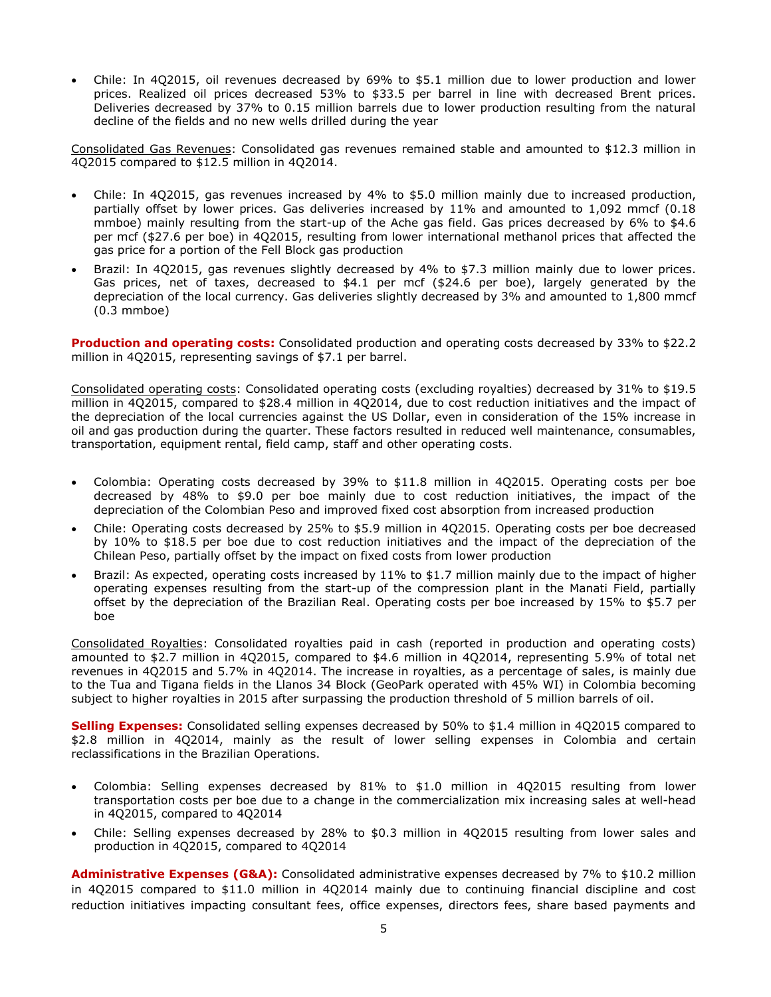Chile: In 4Q2015, oil revenues decreased by 69% to \$5.1 million due to lower production and lower prices. Realized oil prices decreased 53% to \$33.5 per barrel in line with decreased Brent prices. Deliveries decreased by 37% to 0.15 million barrels due to lower production resulting from the natural decline of the fields and no new wells drilled during the year

Consolidated Gas Revenues: Consolidated gas revenues remained stable and amounted to \$12.3 million in 4Q2015 compared to \$12.5 million in 4Q2014.

- Chile: In 4Q2015, gas revenues increased by 4% to \$5.0 million mainly due to increased production, partially offset by lower prices. Gas deliveries increased by 11% and amounted to 1,092 mmcf (0.18 mmboe) mainly resulting from the start-up of the Ache gas field. Gas prices decreased by 6% to \$4.6 per mcf (\$27.6 per boe) in 4Q2015, resulting from lower international methanol prices that affected the gas price for a portion of the Fell Block gas production
- Brazil: In 4Q2015, gas revenues slightly decreased by 4% to \$7.3 million mainly due to lower prices. Gas prices, net of taxes, decreased to  $$4.1$  per mcf ( $$24.6$  per boe), largely generated by the depreciation of the local currency. Gas deliveries slightly decreased by 3% and amounted to 1,800 mmcf (0.3 mmboe)

**Production and operating costs:** Consolidated production and operating costs decreased by 33% to \$22.2 million in 4Q2015, representing savings of \$7.1 per barrel.

Consolidated operating costs: Consolidated operating costs (excluding royalties) decreased by 31% to \$19.5 million in 4Q2015, compared to \$28.4 million in 4Q2014, due to cost reduction initiatives and the impact of the depreciation of the local currencies against the US Dollar, even in consideration of the 15% increase in oil and gas production during the quarter. These factors resulted in reduced well maintenance, consumables, transportation, equipment rental, field camp, staff and other operating costs.

- Colombia: Operating costs decreased by 39% to \$11.8 million in 4Q2015. Operating costs per boe decreased by 48% to \$9.0 per boe mainly due to cost reduction initiatives, the impact of the depreciation of the Colombian Peso and improved fixed cost absorption from increased production
- Chile: Operating costs decreased by 25% to \$5.9 million in 4Q2015. Operating costs per boe decreased by 10% to \$18.5 per boe due to cost reduction initiatives and the impact of the depreciation of the Chilean Peso, partially offset by the impact on fixed costs from lower production
- Brazil: As expected, operating costs increased by 11% to \$1.7 million mainly due to the impact of higher operating expenses resulting from the start-up of the compression plant in the Manati Field, partially offset by the depreciation of the Brazilian Real. Operating costs per boe increased by 15% to \$5.7 per boe

Consolidated Royalties: Consolidated royalties paid in cash (reported in production and operating costs) amounted to \$2.7 million in 4Q2015, compared to \$4.6 million in 4Q2014, representing 5.9% of total net revenues in 4Q2015 and 5.7% in 4Q2014. The increase in royalties, as a percentage of sales, is mainly due to the Tua and Tigana fields in the Llanos 34 Block (GeoPark operated with 45% WI) in Colombia becoming subject to higher royalties in 2015 after surpassing the production threshold of 5 million barrels of oil.

**Selling Expenses:** Consolidated selling expenses decreased by 50% to \$1.4 million in 4Q2015 compared to \$2.8 million in 4Q2014, mainly as the result of lower selling expenses in Colombia and certain reclassifications in the Brazilian Operations.

- Colombia: Selling expenses decreased by 81% to \$1.0 million in 4Q2015 resulting from lower transportation costs per boe due to a change in the commercialization mix increasing sales at well-head in 4Q2015, compared to 4Q2014
- Chile: Selling expenses decreased by 28% to \$0.3 million in 4Q2015 resulting from lower sales and production in 4Q2015, compared to 4Q2014

**Administrative Expenses (G&A):** Consolidated administrative expenses decreased by 7% to \$10.2 million in 4Q2015 compared to \$11.0 million in 4Q2014 mainly due to continuing financial discipline and cost reduction initiatives impacting consultant fees, office expenses, directors fees, share based payments and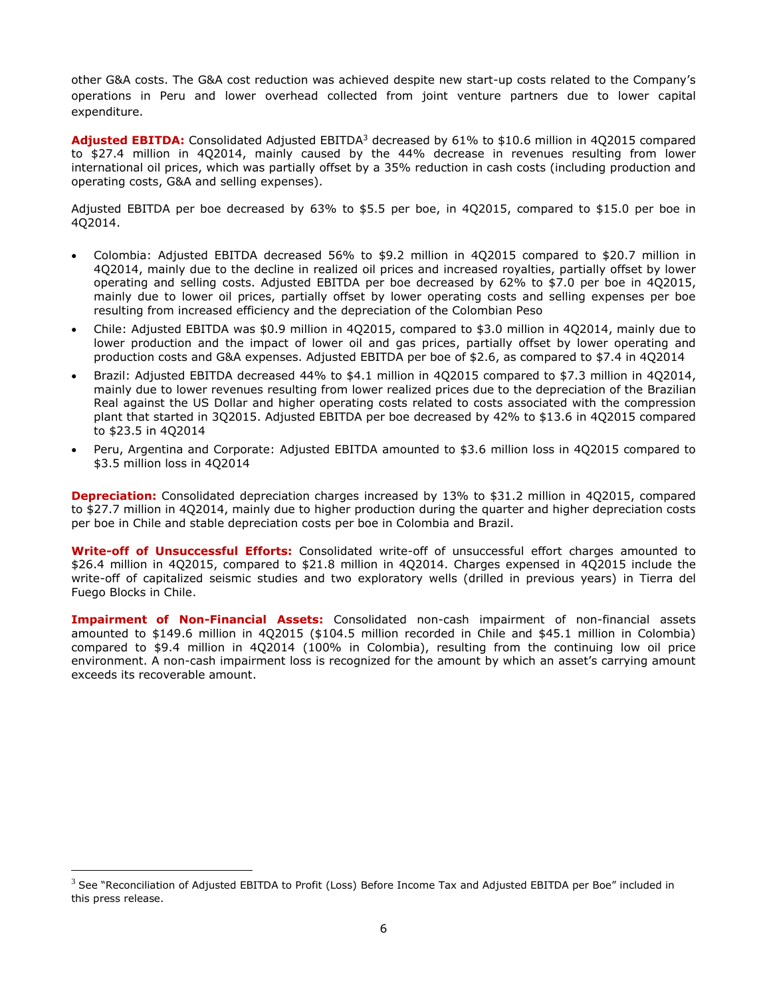other G&A costs. The G&A cost reduction was achieved despite new start-up costs related to the Company's operations in Peru and lower overhead collected from joint venture partners due to lower capital expenditure.

**Adjusted EBITDA:** Consolidated Adjusted EBITDA<sup>3</sup> decreased by 61% to \$10.6 million in 4Q2015 compared to \$27.4 million in 4Q2014, mainly caused by the 44% decrease in revenues resulting from lower international oil prices, which was partially offset by a 35% reduction in cash costs (including production and operating costs, G&A and selling expenses).

Adjusted EBITDA per boe decreased by 63% to \$5.5 per boe, in 4Q2015, compared to \$15.0 per boe in 4Q2014.

- Colombia: Adjusted EBITDA decreased 56% to \$9.2 million in 4Q2015 compared to \$20.7 million in 4Q2014, mainly due to the decline in realized oil prices and increased royalties, partially offset by lower operating and selling costs. Adjusted EBITDA per boe decreased by 62% to \$7.0 per boe in 4Q2015, mainly due to lower oil prices, partially offset by lower operating costs and selling expenses per boe resulting from increased efficiency and the depreciation of the Colombian Peso
- Chile: Adjusted EBITDA was \$0.9 million in 4Q2015, compared to \$3.0 million in 4Q2014, mainly due to lower production and the impact of lower oil and gas prices, partially offset by lower operating and production costs and G&A expenses. Adjusted EBITDA per boe of \$2.6, as compared to \$7.4 in 4Q2014
- Brazil: Adjusted EBITDA decreased 44% to \$4.1 million in 4Q2015 compared to \$7.3 million in 4Q2014, mainly due to lower revenues resulting from lower realized prices due to the depreciation of the Brazilian Real against the US Dollar and higher operating costs related to costs associated with the compression plant that started in 3Q2015. Adjusted EBITDA per boe decreased by 42% to \$13.6 in 4Q2015 compared to \$23.5 in 4Q2014
- Peru, Argentina and Corporate: Adjusted EBITDA amounted to \$3.6 million loss in 4Q2015 compared to \$3.5 million loss in 4Q2014

**Depreciation:** Consolidated depreciation charges increased by 13% to \$31.2 million in 4Q2015, compared to \$27.7 million in 4Q2014, mainly due to higher production during the quarter and higher depreciation costs per boe in Chile and stable depreciation costs per boe in Colombia and Brazil.

**Write-off of Unsuccessful Efforts:** Consolidated write-off of unsuccessful effort charges amounted to \$26.4 million in 4Q2015, compared to \$21.8 million in 4Q2014. Charges expensed in 4Q2015 include the write-off of capitalized seismic studies and two exploratory wells (drilled in previous years) in Tierra del Fuego Blocks in Chile.

**Impairment of Non-Financial Assets:** Consolidated non-cash impairment of non-financial assets amounted to \$149.6 million in 4Q2015 (\$104.5 million recorded in Chile and \$45.1 million in Colombia) compared to \$9.4 million in 4Q2014 (100% in Colombia), resulting from the continuing low oil price environment. A non-cash impairment loss is recognized for the amount by which an asset's carrying amount exceeds its recoverable amount.

 $\overline{\phantom{a}}$ 

 $3$  See "Reconciliation of Adjusted EBITDA to Profit (Loss) Before Income Tax and Adjusted EBITDA per Boe" included in this press release.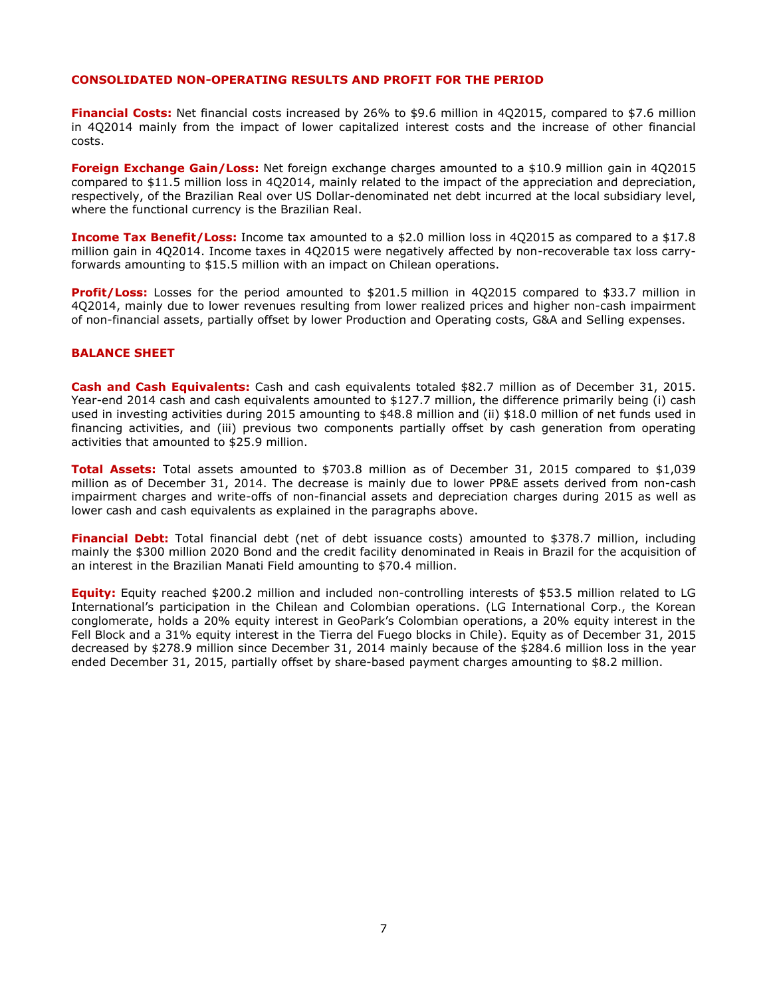### **CONSOLIDATED NON-OPERATING RESULTS AND PROFIT FOR THE PERIOD**

**Financial Costs:** Net financial costs increased by 26% to \$9.6 million in 4Q2015, compared to \$7.6 million in 4Q2014 mainly from the impact of lower capitalized interest costs and the increase of other financial costs.

**Foreign Exchange Gain/Loss:** Net foreign exchange charges amounted to a \$10.9 million gain in 4Q2015 compared to \$11.5 million loss in 4Q2014, mainly related to the impact of the appreciation and depreciation, respectively, of the Brazilian Real over US Dollar-denominated net debt incurred at the local subsidiary level, where the functional currency is the Brazilian Real.

**Income Tax Benefit/Loss:** Income tax amounted to a \$2.0 million loss in 4Q2015 as compared to a \$17.8 million gain in 4Q2014. Income taxes in 4Q2015 were negatively affected by non-recoverable tax loss carryforwards amounting to \$15.5 million with an impact on Chilean operations.

**Profit/Loss:** Losses for the period amounted to \$201.5 million in 4Q2015 compared to \$33.7 million in 4Q2014, mainly due to lower revenues resulting from lower realized prices and higher non-cash impairment of non-financial assets, partially offset by lower Production and Operating costs, G&A and Selling expenses.

#### **BALANCE SHEET**

**Cash and Cash Equivalents:** Cash and cash equivalents totaled \$82.7 million as of December 31, 2015. Year-end 2014 cash and cash equivalents amounted to \$127.7 million, the difference primarily being (i) cash used in investing activities during 2015 amounting to \$48.8 million and (ii) \$18.0 million of net funds used in financing activities, and (iii) previous two components partially offset by cash generation from operating activities that amounted to \$25.9 million.

**Total Assets:** Total assets amounted to \$703.8 million as of December 31, 2015 compared to \$1,039 million as of December 31, 2014. The decrease is mainly due to lower PP&E assets derived from non-cash impairment charges and write-offs of non-financial assets and depreciation charges during 2015 as well as lower cash and cash equivalents as explained in the paragraphs above.

**Financial Debt:** Total financial debt (net of debt issuance costs) amounted to \$378.7 million, including mainly the \$300 million 2020 Bond and the credit facility denominated in Reais in Brazil for the acquisition of an interest in the Brazilian Manati Field amounting to \$70.4 million.

**Equity:** Equity reached \$200.2 million and included non-controlling interests of \$53.5 million related to LG International's participation in the Chilean and Colombian operations. (LG International Corp., the Korean conglomerate, holds a 20% equity interest in GeoPark's Colombian operations, a 20% equity interest in the Fell Block and a 31% equity interest in the Tierra del Fuego blocks in Chile). Equity as of December 31, 2015 decreased by \$278.9 million since December 31, 2014 mainly because of the \$284.6 million loss in the year ended December 31, 2015, partially offset by share-based payment charges amounting to \$8.2 million.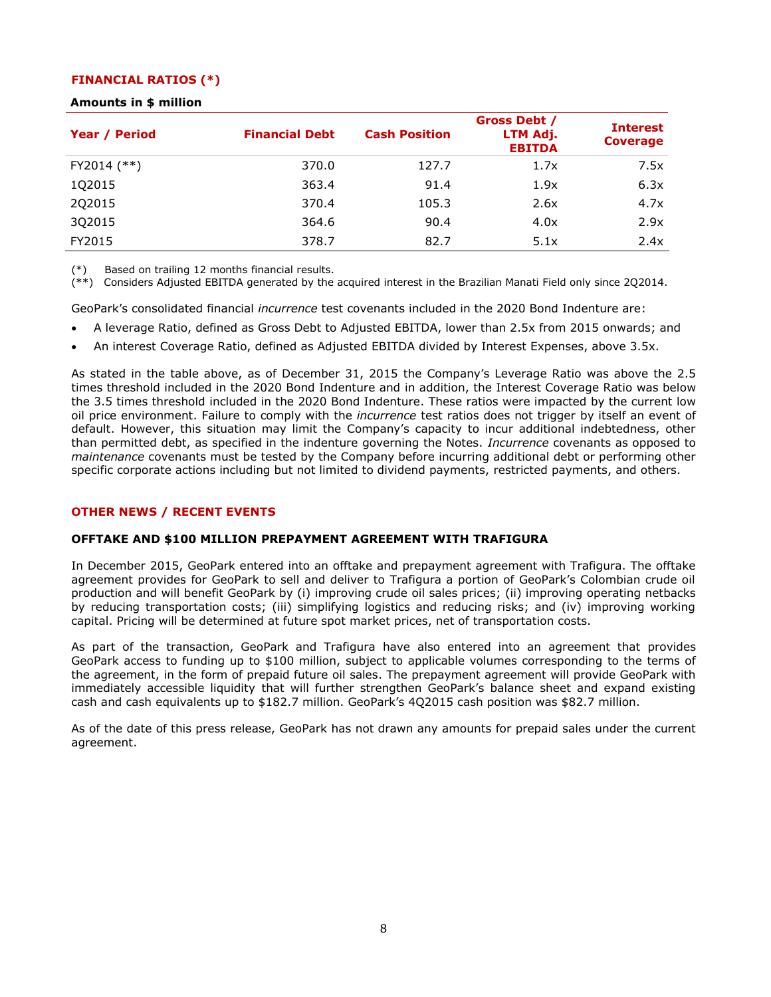## **FINANCIAL RATIOS (\*)**

#### **Amounts in \$ million**

| Year / Period | <b>Financial Debt</b> | <b>Cash Position</b> | Gross Debt /<br>LTM Adj.<br><b>EBITDA</b> | <b>Interest</b><br><b>Coverage</b> |
|---------------|-----------------------|----------------------|-------------------------------------------|------------------------------------|
| FY2014 $(**)$ | 370.0                 | 127.7                | 1.7x                                      | 7.5x                               |
| 1Q2015        | 363.4                 | 91.4                 | 1.9x                                      | 6.3x                               |
| 2Q2015        | 370.4                 | 105.3                | 2.6x                                      | 4.7x                               |
| 3Q2015        | 364.6                 | 90.4                 | 4.0x                                      | 2.9x                               |
| FY2015        | 378.7                 | 82.7                 | 5.1x                                      | 2.4x                               |

(\*) Based on trailing 12 months financial results.

(\*\*) Considers Adjusted EBITDA generated by the acquired interest in the Brazilian Manati Field only since 2Q2014.

GeoPark's consolidated financial *incurrence* test covenants included in the 2020 Bond Indenture are:

- A leverage Ratio, defined as Gross Debt to Adjusted EBITDA, lower than 2.5x from 2015 onwards; and
- An interest Coverage Ratio, defined as Adjusted EBITDA divided by Interest Expenses, above 3.5x.

As stated in the table above, as of December 31, 2015 the Company's Leverage Ratio was above the 2.5 times threshold included in the 2020 Bond Indenture and in addition, the Interest Coverage Ratio was below the 3.5 times threshold included in the 2020 Bond Indenture. These ratios were impacted by the current low oil price environment. Failure to comply with the *incurrence* test ratios does not trigger by itself an event of default. However, this situation may limit the Company's capacity to incur additional indebtedness, other than permitted debt, as specified in the indenture governing the Notes. *Incurrence* covenants as opposed to *maintenance* covenants must be tested by the Company before incurring additional debt or performing other specific corporate actions including but not limited to dividend payments, restricted payments, and others.

## **OTHER NEWS / RECENT EVENTS**

### **OFFTAKE AND \$100 MILLION PREPAYMENT AGREEMENT WITH TRAFIGURA**

In December 2015, GeoPark entered into an offtake and prepayment agreement with Trafigura. The offtake agreement provides for GeoPark to sell and deliver to Trafigura a portion of GeoPark's Colombian crude oil production and will benefit GeoPark by (i) improving crude oil sales prices; (ii) improving operating netbacks by reducing transportation costs; (iii) simplifying logistics and reducing risks; and (iv) improving working capital. Pricing will be determined at future spot market prices, net of transportation costs.

As part of the transaction, GeoPark and Trafigura have also entered into an agreement that provides GeoPark access to funding up to \$100 million, subject to applicable volumes corresponding to the terms of the agreement, in the form of prepaid future oil sales. The prepayment agreement will provide GeoPark with immediately accessible liquidity that will further strengthen GeoPark's balance sheet and expand existing cash and cash equivalents up to \$182.7 million. GeoPark's 4Q2015 cash position was \$82.7 million.

As of the date of this press release, GeoPark has not drawn any amounts for prepaid sales under the current agreement.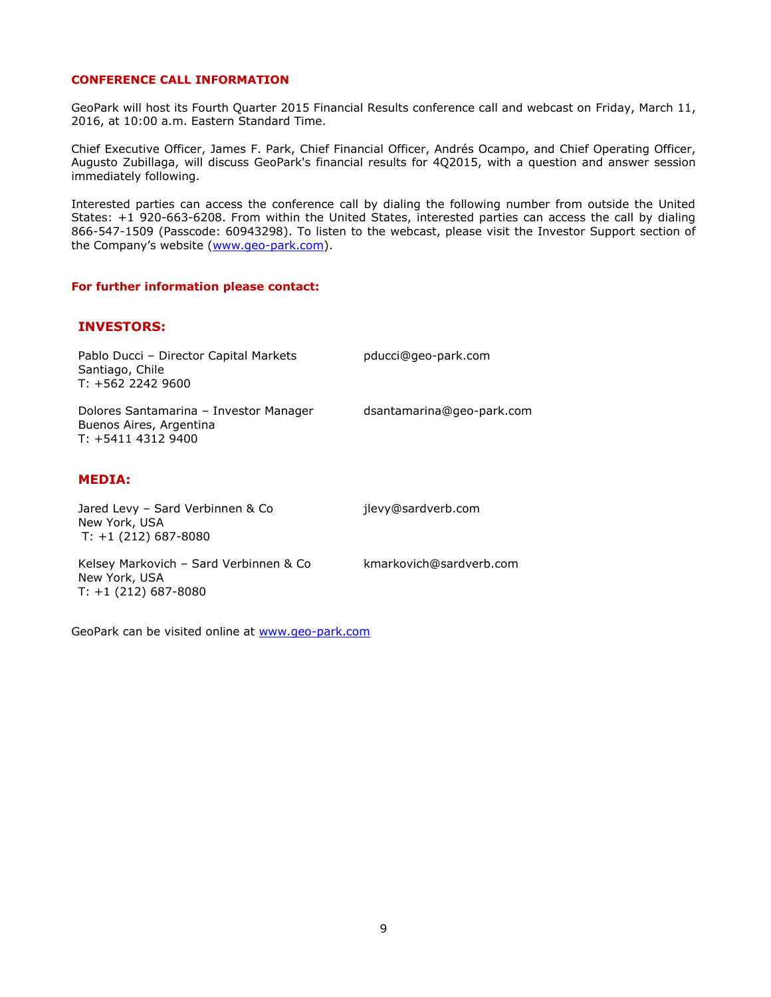### **CONFERENCE CALL INFORMATION**

GeoPark will host its Fourth Quarter 2015 Financial Results conference call and webcast on Friday, March 11, 2016, at 10:00 a.m. Eastern Standard Time.

Chief Executive Officer, James F. Park, Chief Financial Officer, Andrés Ocampo, and Chief Operating Officer, Augusto Zubillaga, will discuss GeoPark's financial results for 4Q2015, with a question and answer session immediately following.

Interested parties can access the conference call by dialing the following number from outside the United States: +1 920-663-6208. From within the United States, interested parties can access the call by dialing 866-547-1509 (Passcode: 60943298). To listen to the webcast, please visit the Investor Support section of the Company's website ([www.geo-park.com\)](http://www.geo-park.com/).

#### **For further information please contact:**

## **INVESTORS:**

| Pablo Ducci - Director Capital Markets<br>Santiago, Chile<br>T: +562 2242 9600          | pducci@geo-park.com       |
|-----------------------------------------------------------------------------------------|---------------------------|
| Dolores Santamarina - Investor Manager<br>Buenos Aires, Argentina<br>T: +5411 4312 9400 | dsantamarina@geo-park.com |
| <b>MEDIA:</b>                                                                           |                           |
| Jared Levy - Sard Verbinnen & Co<br>New York, USA<br>$T: +1(212)687-8080$               | jlevy@sardverb.com        |

Kelsey Markovich – Sard Verbinnen & Co New York, USA T: +1 (212) 687-8080

[kmarkovich@sardverb.com](mailto:kmarkovich@sardverb.com)

GeoPark can be visited online at [www.geo-park.com](http://www.geo-park.com/)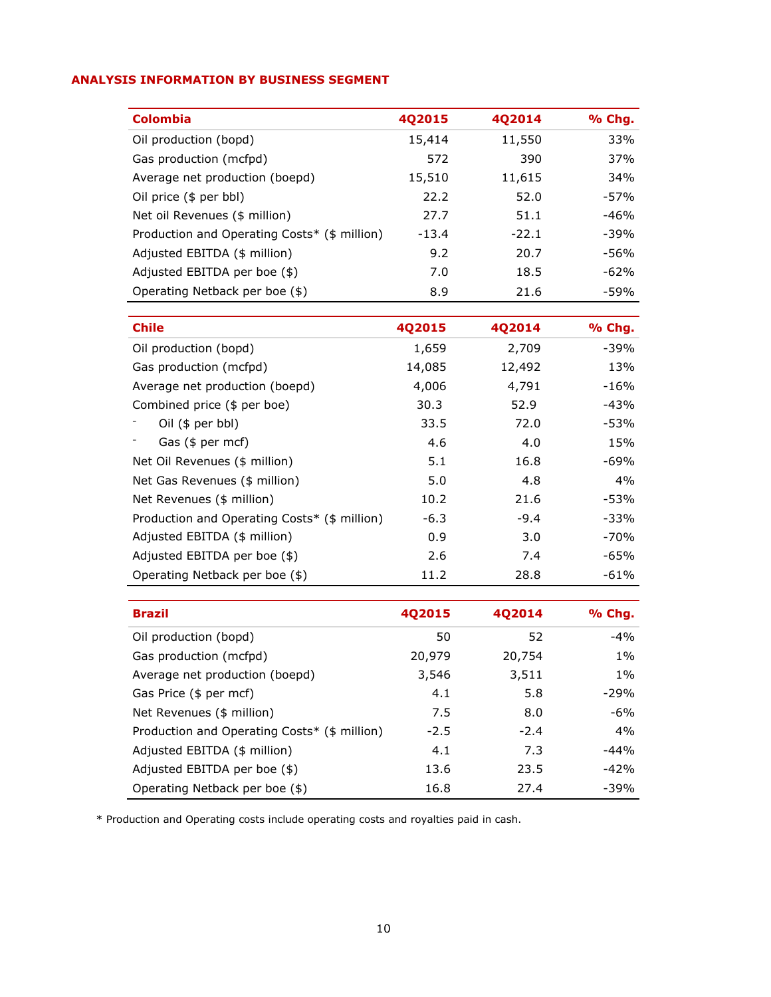# **ANALYSIS INFORMATION BY BUSINESS SEGMENT**

| <b>Colombia</b>                              | 4Q2015  | 4Q2014  | % Chg. |
|----------------------------------------------|---------|---------|--------|
| Oil production (bopd)                        | 15,414  | 11,550  | 33%    |
| Gas production (mcfpd)                       | 572     | 390     | 37%    |
| Average net production (boepd)               | 15,510  | 11,615  | 34%    |
| Oil price $(\$$ per bbl)                     | 22.2    | 52.0    | $-57%$ |
| Net oil Revenues (\$ million)                | 27.7    | 51.1    | $-46%$ |
| Production and Operating Costs* (\$ million) | $-13.4$ | $-22.1$ | $-39%$ |
| Adjusted EBITDA (\$ million)                 | 9.2     | 20.7    | -56%   |
| Adjusted EBITDA per boe (\$)                 | 7.0     | 18.5    | $-62%$ |
| Operating Netback per boe (\$)               | 8.9     | 21.6    | -59%   |

| <b>Chile</b>                                 | 4Q2015 | 4Q2014 | % Chg. |
|----------------------------------------------|--------|--------|--------|
| Oil production (bopd)                        | 1,659  | 2,709  | -39%   |
| Gas production (mcfpd)                       | 14,085 | 12,492 | 13%    |
| Average net production (boepd)               | 4,006  | 4,791  | $-16%$ |
| Combined price (\$ per boe)                  | 30.3   | 52.9   | -43%   |
| Oil $($ per bb)$                             | 33.5   | 72.0   | -53%   |
| Gas $($$ per mcf)                            | 4.6    | 4.0    | 15%    |
| Net Oil Revenues (\$ million)                | 5.1    | 16.8   | -69%   |
| Net Gas Revenues (\$ million)                | 5.0    | 4.8    | 4%     |
| Net Revenues (\$ million)                    | 10.2   | 21.6   | -53%   |
| Production and Operating Costs* (\$ million) | -6.3   | -9.4   | -33%   |
| Adjusted EBITDA (\$ million)                 | 0.9    | 3.0    | -70%   |
| Adjusted EBITDA per boe (\$)                 | 2.6    | 7.4    | -65%   |
| Operating Netback per boe (\$)               | 11.2   | 28.8   | $-61%$ |

| <b>Brazil</b>                                | 4Q2015 | 4Q2014 | % Chg. |
|----------------------------------------------|--------|--------|--------|
| Oil production (bopd)                        | 50     | 52     | $-4%$  |
| Gas production (mcfpd)                       | 20,979 | 20,754 | $1\%$  |
| Average net production (boepd)               | 3,546  | 3,511  | $1\%$  |
| Gas Price (\$ per mcf)                       | 4.1    | 5.8    | -29%   |
| Net Revenues (\$ million)                    | 7.5    | 8.0    | -6%    |
| Production and Operating Costs* (\$ million) | $-2.5$ | $-2.4$ | 4%     |
| Adjusted EBITDA (\$ million)                 | 4.1    | 7.3    | $-44%$ |
| Adjusted EBITDA per boe (\$)                 | 13.6   | 23.5   | $-42%$ |
| Operating Netback per boe (\$)               | 16.8   | 27.4   | -39%   |

\* Production and Operating costs include operating costs and royalties paid in cash.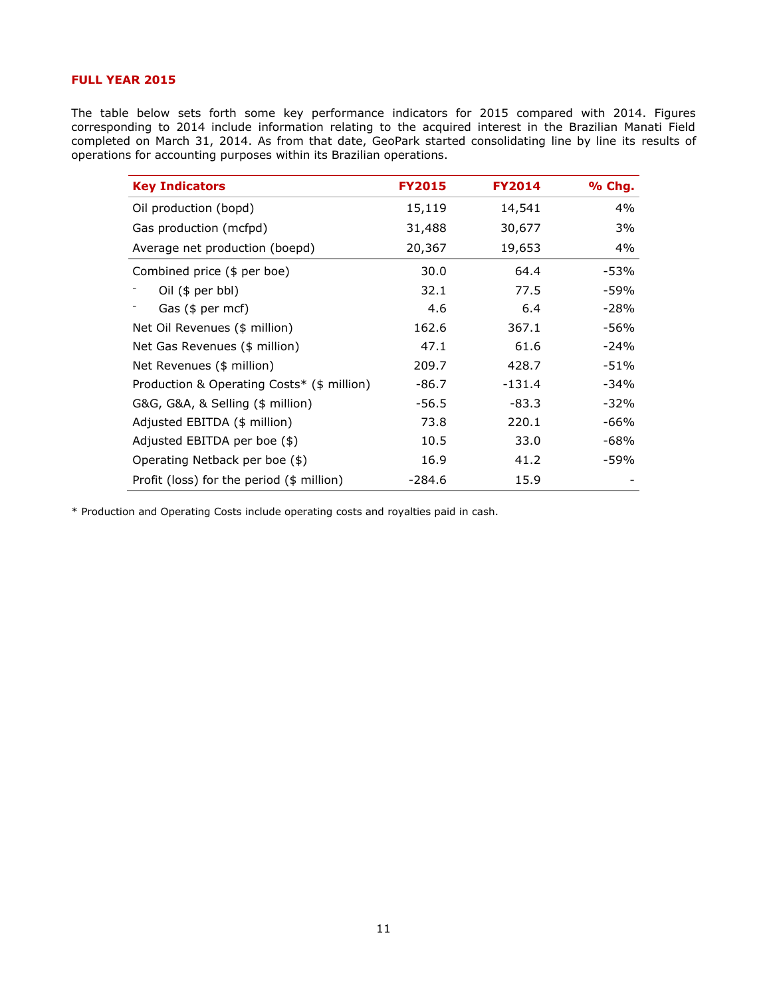## **FULL YEAR 2015**

The table below sets forth some key performance indicators for 2015 compared with 2014. Figures corresponding to 2014 include information relating to the acquired interest in the Brazilian Manati Field completed on March 31, 2014. As from that date, GeoPark started consolidating line by line its results of operations for accounting purposes within its Brazilian operations.

| <b>Key Indicators</b>                       | <b>FY2015</b> | <b>FY2014</b> | % Chg. |
|---------------------------------------------|---------------|---------------|--------|
| Oil production (bopd)                       | 15,119        | 14,541        | 4%     |
| Gas production (mcfpd)                      | 31,488        | 30,677        | 3%     |
| Average net production (boepd)              | 20,367        | 19,653        | 4%     |
| Combined price (\$ per boe)                 | 30.0          | 64.4          | -53%   |
| $ceil ($ \$ per bbl $)$                     | 32.1          | 77.5          | -59%   |
| Gas $($$ per mcf)                           | 4.6           | 6.4           | $-28%$ |
| Net Oil Revenues (\$ million)               | 162.6         | 367.1         | -56%   |
| Net Gas Revenues (\$ million)               | 47.1          | 61.6          | $-24%$ |
| Net Revenues (\$ million)                   | 209.7         | 428.7         | -51%   |
| Production & Operating Costs* (\$ million)  | -86.7         | -131.4        | -34%   |
| G&G, G&A, & Selling (\$ million)            | $-56.5$       | -83.3         | -32%   |
| Adjusted EBITDA (\$ million)                | 73.8          | 220.1         | $-66%$ |
| Adjusted EBITDA per boe $(\$)$              | 10.5          | 33.0          | -68%   |
| Operating Netback per boe (\$)              | 16.9          | 41.2          | -59%   |
| Profit (loss) for the period $(\$$ million) | $-284.6$      | 15.9          |        |

\* Production and Operating Costs include operating costs and royalties paid in cash.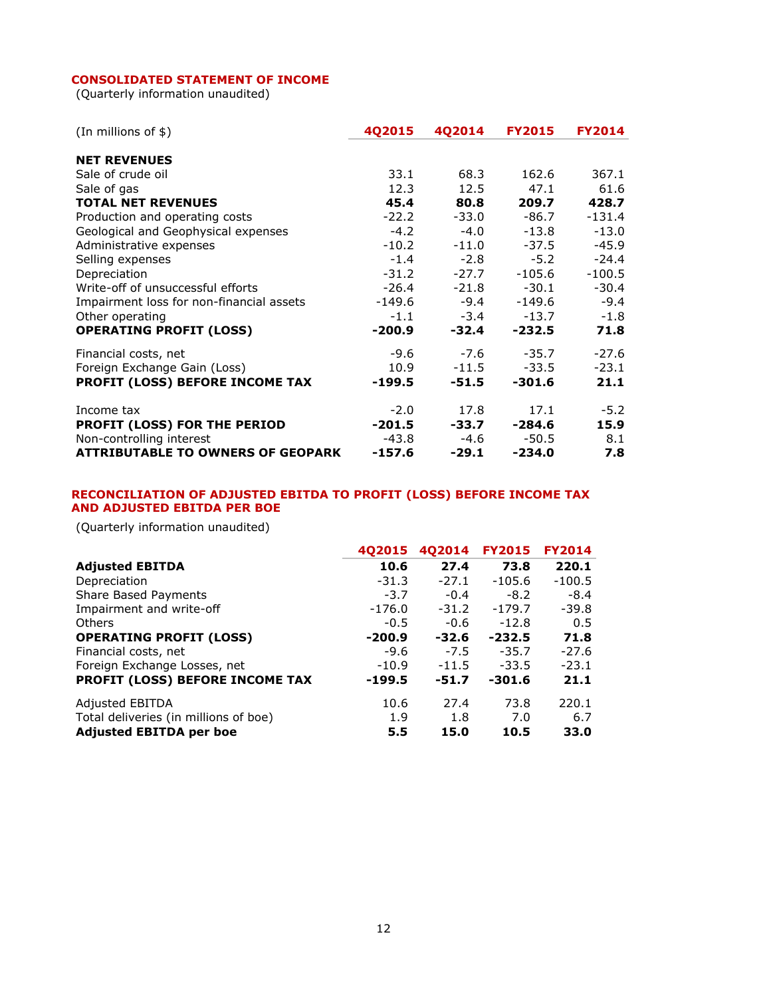# **CONSOLIDATED STATEMENT OF INCOME**

(Quarterly information unaudited)

| (In millions of $$$ )                    | 4Q2015   | 4Q2014  | <b>FY2015</b> | <b>FY2014</b> |
|------------------------------------------|----------|---------|---------------|---------------|
| <b>NET REVENUES</b>                      |          |         |               |               |
| Sale of crude oil                        | 33.1     | 68.3    | 162.6         | 367.1         |
| Sale of gas                              | 12.3     | 12.5    | 47.1          | 61.6          |
| <b>TOTAL NET REVENUES</b>                | 45.4     | 80.8    | 209.7         | 428.7         |
| Production and operating costs           | $-22.2$  | $-33.0$ | $-86.7$       | $-131.4$      |
| Geological and Geophysical expenses      | $-4.2$   | $-4.0$  | $-13.8$       | $-13.0$       |
| Administrative expenses                  | $-10.2$  | $-11.0$ | -37.5         | $-45.9$       |
| Selling expenses                         | $-1.4$   | $-2.8$  | $-5.2$        | $-24.4$       |
| Depreciation                             | $-31.2$  | $-27.7$ | $-105.6$      | $-100.5$      |
| Write-off of unsuccessful efforts        | $-26.4$  | $-21.8$ | $-30.1$       | $-30.4$       |
| Impairment loss for non-financial assets | $-149.6$ | -9.4    | $-149.6$      | $-9.4$        |
| Other operating                          | $-1.1$   | $-3.4$  | $-13.7$       | $-1.8$        |
| <b>OPERATING PROFIT (LOSS)</b>           | $-200.9$ | -32.4   | $-232.5$      | 71.8          |
| Financial costs, net                     | -9.6     | -7.6    | $-35.7$       | -27.6         |
| Foreign Exchange Gain (Loss)             | 10.9     | $-11.5$ | $-33.5$       | $-23.1$       |
| PROFIT (LOSS) BEFORE INCOME TAX          | $-199.5$ | -51.5   | $-301.6$      | 21.1          |
| Income tax                               | $-2.0$   | 17.8    | 17.1          | $-5.2$        |
| PROFIT (LOSS) FOR THE PERIOD             | $-201.5$ | -33.7   | -284.6        | 15.9          |
| Non-controlling interest                 | -43.8    | -4.6    | $-50.5$       | 8.1           |
| <b>ATTRIBUTABLE TO OWNERS OF GEOPARK</b> | -157.6   | $-29.1$ | -234.0        | 7.8           |

### **RECONCILIATION OF ADJUSTED EBITDA TO PROFIT (LOSS) BEFORE INCOME TAX AND ADJUSTED EBITDA PER BOE**

(Quarterly information unaudited)

|                                        | 402015   | 4Q2014  | <b>FY2015</b> | <b>FY2014</b> |
|----------------------------------------|----------|---------|---------------|---------------|
| <b>Adjusted EBITDA</b>                 | 10.6     | 27.4    | 73.8          | 220.1         |
| Depreciation                           | $-31.3$  | $-27.1$ | $-105.6$      | $-100.5$      |
| Share Based Payments                   | $-3.7$   | $-0.4$  | $-8.2$        | $-8.4$        |
| Impairment and write-off               | $-176.0$ | $-31.2$ | $-179.7$      | $-39.8$       |
| Others                                 | $-0.5$   | $-0.6$  | $-12.8$       | 0.5           |
| <b>OPERATING PROFIT (LOSS)</b>         | $-200.9$ | $-32.6$ | $-232.5$      | 71.8          |
| Financial costs, net                   | $-9.6$   | $-7.5$  | $-35.7$       | $-27.6$       |
| Foreign Exchange Losses, net           | $-10.9$  | $-11.5$ | $-33.5$       | $-23.1$       |
| <b>PROFIT (LOSS) BEFORE INCOME TAX</b> | $-199.5$ | $-51.7$ | $-301.6$      | 21.1          |
| Adjusted EBITDA                        | 10.6     | 27.4    | 73.8          | 220.1         |
| Total deliveries (in millions of boe)  | 1.9      | 1.8     | 7.0           | 6.7           |
| <b>Adjusted EBITDA per boe</b>         | 5.5      | 15.0    | 10.5          | 33.0          |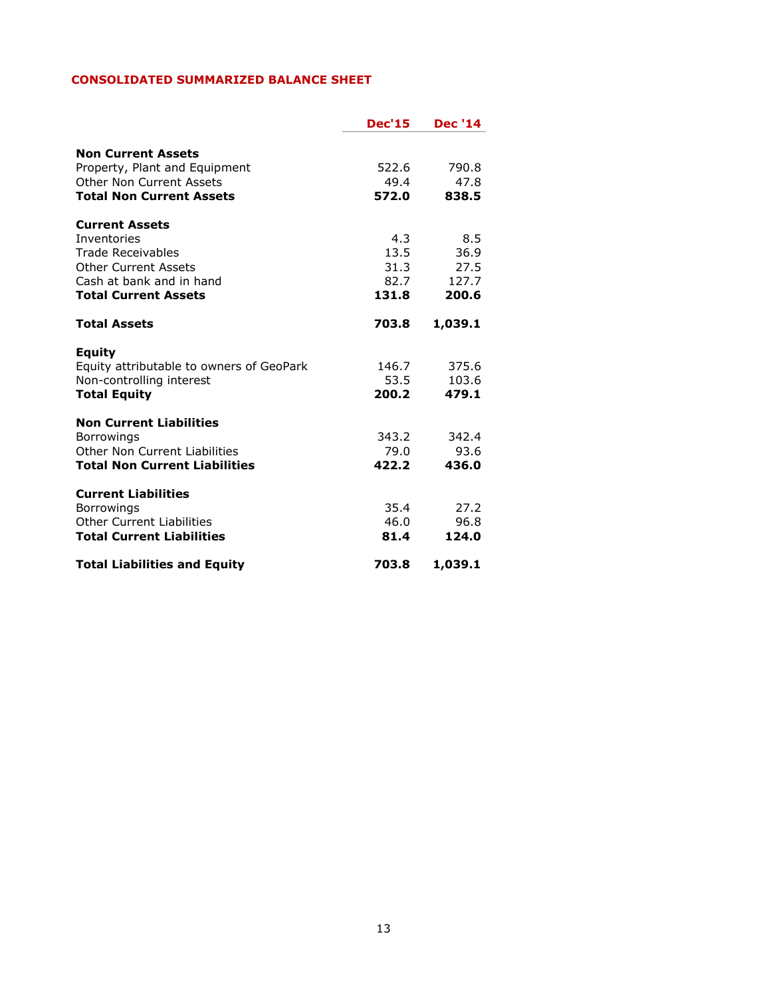# **CONSOLIDATED SUMMARIZED BALANCE SHEET**

|                                          | <b>Dec'15</b> | <b>Dec '14</b> |
|------------------------------------------|---------------|----------------|
| <b>Non Current Assets</b>                |               |                |
| Property, Plant and Equipment            | 522.6         | 790.8          |
| Other Non Current Assets                 | 49.4          | 47.8           |
| <b>Total Non Current Assets</b>          | 572.0         | 838.5          |
| <b>Current Assets</b>                    |               |                |
| Inventories                              | 4.3           | 8.5            |
| <b>Trade Receivables</b>                 | 13.5          | 36.9           |
| <b>Other Current Assets</b>              | 31.3          | 27.5           |
| Cash at bank and in hand                 | 82.7          | 127.7          |
| <b>Total Current Assets</b>              | 131.8         | 200.6          |
| <b>Total Assets</b>                      | 703.8         | 1,039.1        |
|                                          |               |                |
| Equity                                   |               |                |
| Equity attributable to owners of GeoPark | 146.7         | 375.6          |
| Non-controlling interest                 | 53.5          | 103.6          |
| <b>Total Equity</b>                      | 200.2         | 479.1          |
| <b>Non Current Liabilities</b>           |               |                |
| <b>Borrowings</b>                        | 343.2         | 342.4          |
| Other Non Current Liabilities            | 79.0          | 93.6           |
| <b>Total Non Current Liabilities</b>     | 422.2         | 436.0          |
| <b>Current Liabilities</b>               |               |                |
| <b>Borrowings</b>                        | 35.4          | 27.2           |
| <b>Other Current Liabilities</b>         | 46.0          | 96.8           |
| <b>Total Current Liabilities</b>         | 81.4          | 124.0          |
| <b>Total Liabilities and Equity</b>      | 703.8         | 1,039.1        |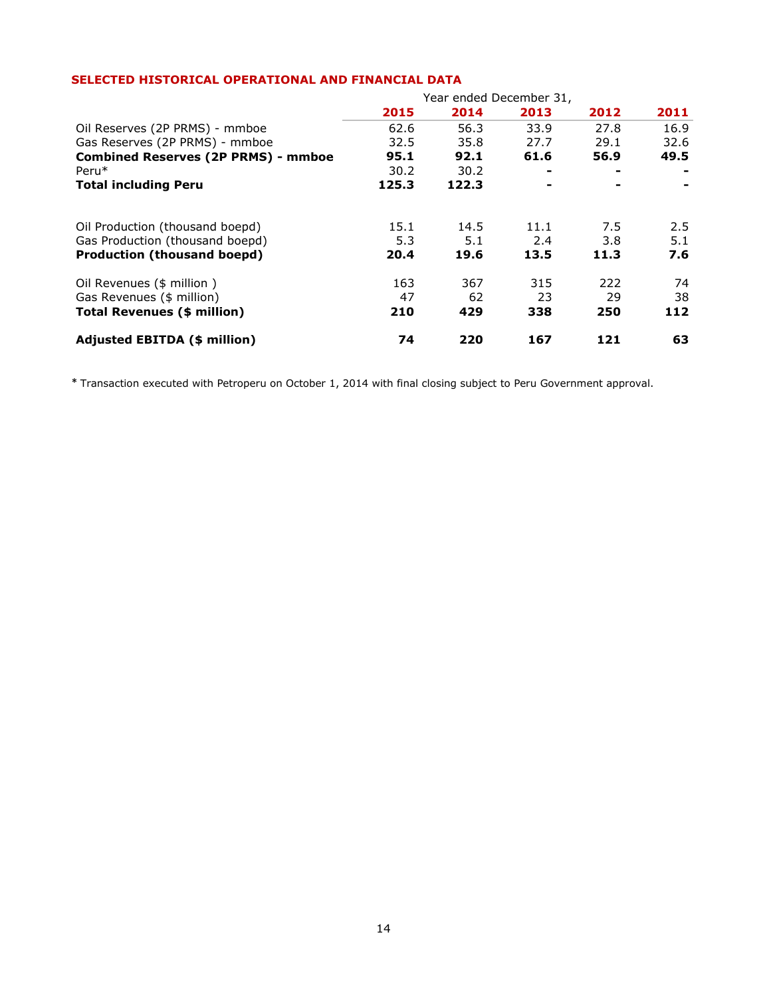# **SELECTED HISTORICAL OPERATIONAL AND FINANCIAL DATA**

|                                            |       | Year ended December 31, |      |      |      |
|--------------------------------------------|-------|-------------------------|------|------|------|
|                                            | 2015  | 2014                    | 2013 | 2012 | 2011 |
| Oil Reserves (2P PRMS) - mmboe             | 62.6  | 56.3                    | 33.9 | 27.8 | 16.9 |
| Gas Reserves (2P PRMS) - mmboe             | 32.5  | 35.8                    | 27.7 | 29.1 | 32.6 |
| <b>Combined Reserves (2P PRMS) - mmboe</b> | 95.1  | 92.1                    | 61.6 | 56.9 | 49.5 |
| $Peru*$                                    | 30.2  | 30.2                    |      |      |      |
| <b>Total including Peru</b>                | 125.3 | 122.3                   |      |      |      |
| Oil Production (thousand boepd)            | 15.1  | 14.5                    | 11.1 | 7.5  | 2.5  |
| Gas Production (thousand boepd)            | 5.3   | 5.1                     | 2.4  | 3.8  | 5.1  |
| <b>Production (thousand boepd)</b>         | 20.4  | 19.6                    | 13.5 | 11.3 | 7.6  |
| Oil Revenues (\$ million)                  | 163   | 367                     | 315  | 222  | 74   |
| Gas Revenues (\$ million)                  | 47    | 62                      | 23   | 29   | 38   |
| Total Revenues (\$ million)                | 210   | 429                     | 338  | 250  | 112  |
| Adjusted EBITDA (\$ million)               | 74    | 220                     | 167  | 121  | 63   |

\* Transaction executed with Petroperu on October 1, 2014 with final closing subject to Peru Government approval.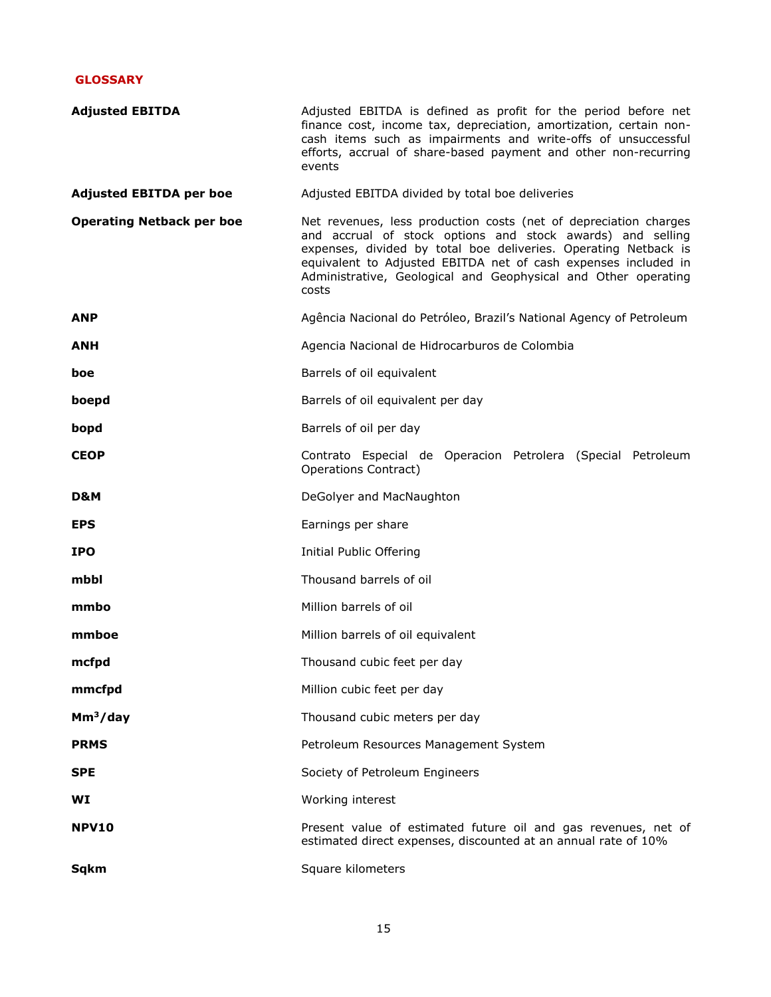# **GLOSSARY**

| <b>Adjusted EBITDA</b>           | Adjusted EBITDA is defined as profit for the period before net<br>finance cost, income tax, depreciation, amortization, certain non-<br>cash items such as impairments and write-offs of unsuccessful<br>efforts, accrual of share-based payment and other non-recurring<br>events                                                             |
|----------------------------------|------------------------------------------------------------------------------------------------------------------------------------------------------------------------------------------------------------------------------------------------------------------------------------------------------------------------------------------------|
| <b>Adjusted EBITDA per boe</b>   | Adjusted EBITDA divided by total boe deliveries                                                                                                                                                                                                                                                                                                |
| <b>Operating Netback per boe</b> | Net revenues, less production costs (net of depreciation charges<br>and accrual of stock options and stock awards) and selling<br>expenses, divided by total boe deliveries. Operating Netback is<br>equivalent to Adjusted EBITDA net of cash expenses included in<br>Administrative, Geological and Geophysical and Other operating<br>costs |
| <b>ANP</b>                       | Agência Nacional do Petróleo, Brazil's National Agency of Petroleum                                                                                                                                                                                                                                                                            |
| ANH                              | Agencia Nacional de Hidrocarburos de Colombia                                                                                                                                                                                                                                                                                                  |
| boe                              | Barrels of oil equivalent                                                                                                                                                                                                                                                                                                                      |
| boepd                            | Barrels of oil equivalent per day                                                                                                                                                                                                                                                                                                              |
| bopd                             | Barrels of oil per day                                                                                                                                                                                                                                                                                                                         |
| <b>CEOP</b>                      | Contrato Especial de Operacion Petrolera (Special Petroleum<br><b>Operations Contract)</b>                                                                                                                                                                                                                                                     |
| D&M                              | DeGolyer and MacNaughton                                                                                                                                                                                                                                                                                                                       |
| <b>EPS</b>                       | Earnings per share                                                                                                                                                                                                                                                                                                                             |
| <b>IPO</b>                       | Initial Public Offering                                                                                                                                                                                                                                                                                                                        |
| mbbl                             | Thousand barrels of oil                                                                                                                                                                                                                                                                                                                        |
| mmbo                             | Million barrels of oil                                                                                                                                                                                                                                                                                                                         |
| mmboe                            | Million barrels of oil equivalent                                                                                                                                                                                                                                                                                                              |
| mcfpd                            | Thousand cubic feet per day                                                                                                                                                                                                                                                                                                                    |
| mmcfpd                           | Million cubic feet per day                                                                                                                                                                                                                                                                                                                     |
| Mm <sup>3</sup> /day             | Thousand cubic meters per day                                                                                                                                                                                                                                                                                                                  |
| <b>PRMS</b>                      | Petroleum Resources Management System                                                                                                                                                                                                                                                                                                          |
| <b>SPE</b>                       | Society of Petroleum Engineers                                                                                                                                                                                                                                                                                                                 |
| WI                               | Working interest                                                                                                                                                                                                                                                                                                                               |
| <b>NPV10</b>                     | Present value of estimated future oil and gas revenues, net of<br>estimated direct expenses, discounted at an annual rate of 10%                                                                                                                                                                                                               |
| <b>Sqkm</b>                      | Square kilometers                                                                                                                                                                                                                                                                                                                              |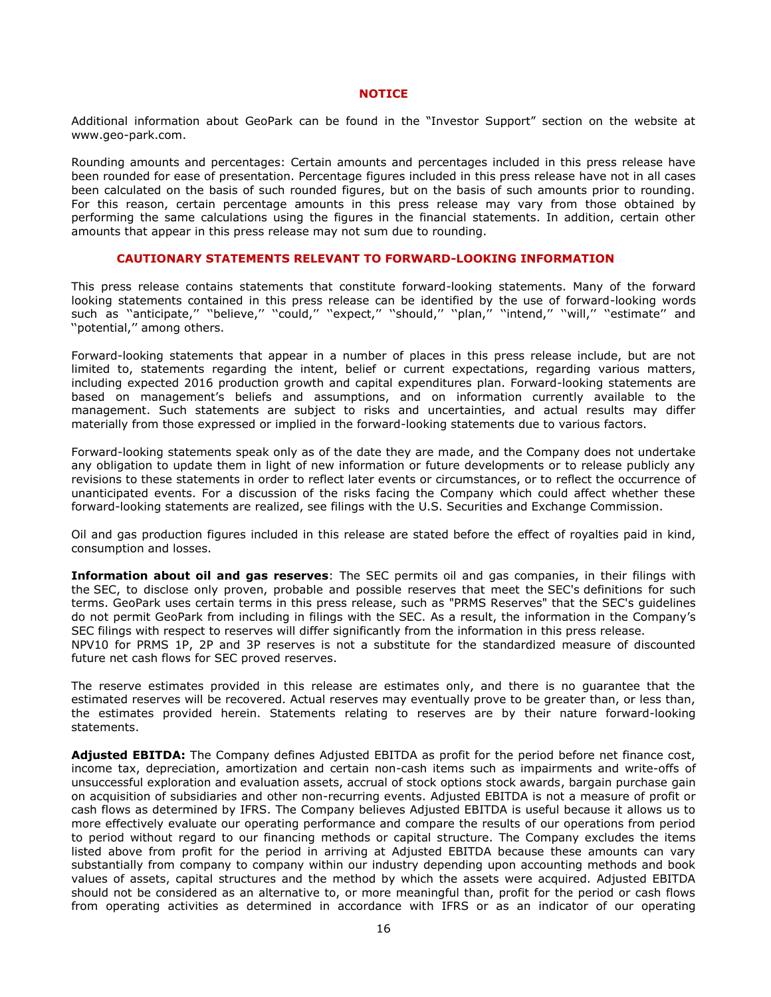#### **NOTICE**

Additional information about GeoPark can be found in the "Investor Support" section on the website at www.geo-park.com.

Rounding amounts and percentages: Certain amounts and percentages included in this press release have been rounded for ease of presentation. Percentage figures included in this press release have not in all cases been calculated on the basis of such rounded figures, but on the basis of such amounts prior to rounding. For this reason, certain percentage amounts in this press release may vary from those obtained by performing the same calculations using the figures in the financial statements. In addition, certain other amounts that appear in this press release may not sum due to rounding.

#### **CAUTIONARY STATEMENTS RELEVANT TO FORWARD-LOOKING INFORMATION**

This press release contains statements that constitute forward-looking statements. Many of the forward looking statements contained in this press release can be identified by the use of forward-looking words such as ''anticipate,'' ''believe,'' ''could,'' ''expect,'' ''should,'' ''plan,'' ''intend,'' ''will,'' ''estimate'' and ''potential,'' among others.

Forward-looking statements that appear in a number of places in this press release include, but are not limited to, statements regarding the intent, belief or current expectations, regarding various matters, including expected 2016 production growth and capital expenditures plan. Forward-looking statements are based on management's beliefs and assumptions, and on information currently available to the management. Such statements are subject to risks and uncertainties, and actual results may differ materially from those expressed or implied in the forward-looking statements due to various factors.

Forward-looking statements speak only as of the date they are made, and the Company does not undertake any obligation to update them in light of new information or future developments or to release publicly any revisions to these statements in order to reflect later events or circumstances, or to reflect the occurrence of unanticipated events. For a discussion of the risks facing the Company which could affect whether these forward-looking statements are realized, see filings with the U.S. Securities and Exchange Commission.

Oil and gas production figures included in this release are stated before the effect of royalties paid in kind, consumption and losses.

**Information about oil and gas reserves**: The SEC permits oil and gas companies, in their filings with the SEC, to disclose only proven, probable and possible reserves that meet the SEC's definitions for such terms. GeoPark uses certain terms in this press release, such as "PRMS Reserves" that the SEC's guidelines do not permit GeoPark from including in filings with the SEC. As a result, the information in the Company's SEC filings with respect to reserves will differ significantly from the information in this press release. NPV10 for PRMS 1P, 2P and 3P reserves is not a substitute for the standardized measure of discounted future net cash flows for SEC proved reserves.

The reserve estimates provided in this release are estimates only, and there is no guarantee that the estimated reserves will be recovered. Actual reserves may eventually prove to be greater than, or less than, the estimates provided herein. Statements relating to reserves are by their nature forward-looking statements.

**Adjusted EBITDA:** The Company defines Adjusted EBITDA as profit for the period before net finance cost, income tax, depreciation, amortization and certain non-cash items such as impairments and write-offs of unsuccessful exploration and evaluation assets, accrual of stock options stock awards, bargain purchase gain on acquisition of subsidiaries and other non-recurring events. Adjusted EBITDA is not a measure of profit or cash flows as determined by IFRS. The Company believes Adjusted EBITDA is useful because it allows us to more effectively evaluate our operating performance and compare the results of our operations from period to period without regard to our financing methods or capital structure. The Company excludes the items listed above from profit for the period in arriving at Adjusted EBITDA because these amounts can vary substantially from company to company within our industry depending upon accounting methods and book values of assets, capital structures and the method by which the assets were acquired. Adjusted EBITDA should not be considered as an alternative to, or more meaningful than, profit for the period or cash flows from operating activities as determined in accordance with IFRS or as an indicator of our operating